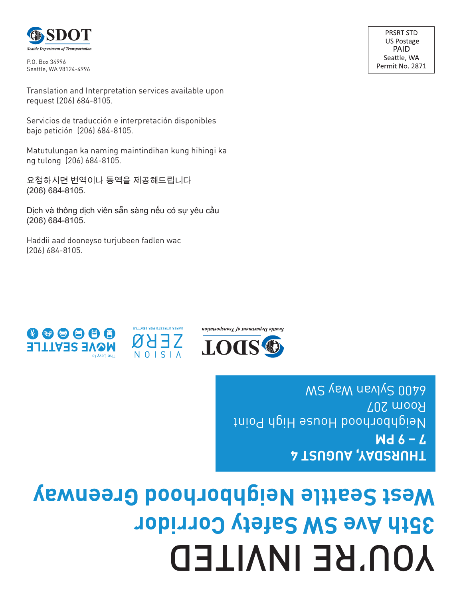## YOU'RE INVITED **35th Ave SW Safety Corridor West Seattle Neighborhood Greenway**

**THURSDAY, AUGUST 4 7 – 9 PM** Neighborhood House High Point Room 207 WS YEW NEVYC 0079



 $\bullet \bullet \bullet \bullet \bullet$ **MQVE SEATTLE** 

(206) 684-8105.

ng tulong (206) 684-8105.





Dịch và thông dịch viên sẵn sàng nếu có sự yêu cầu (206) 684-8105.

Haddii aad dooneyso turjubeen fadlen wac

요청하시면 번역이나 통역을 제공해드립니다 (206) 684-8105.

Servicios de traducción e interpretación disponibles bajo petición (206) 684-8105.

Matutulungan ka naming maintindihan kung hihingi ka

Translation and Interpretation services available upon request (206) 684-8105.

P.O. Box 34996 Seattle, WA 98124-4996

**Seattle Department of Transportation** 

**PRSRT STD US Postage** PAID

Seattle, WA Permit No. 2871